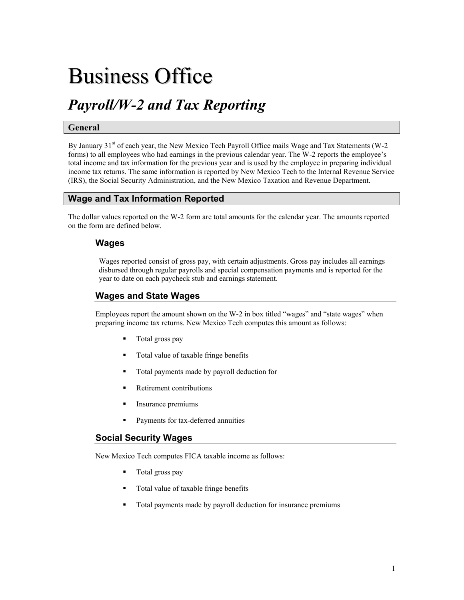# Business Office

# *Payroll/W-2 and Tax Reporting*

#### **General**

By January  $31<sup>st</sup>$  of each year, the New Mexico Tech Payroll Office mails Wage and Tax Statements (W-2) forms) to all employees who had earnings in the previous calendar year. The W-2 reports the employee's total income and tax information for the previous year and is used by the employee in preparing individual income tax returns. The same information is reported by New Mexico Tech to the Internal Revenue Service (IRS), the Social Security Administration, and the New Mexico Taxation and Revenue Department.

### **Wage and Tax Information Reported**

The dollar values reported on the W-2 form are total amounts for the calendar year. The amounts reported on the form are defined below.

#### **Wages**

Wages reported consist of gross pay, with certain adjustments. Gross pay includes all earnings disbursed through regular payrolls and special compensation payments and is reported for the year to date on each paycheck stub and earnings statement.

## **Wages and State Wages**

Employees report the amount shown on the W-2 in box titled "wages" and "state wages" when preparing income tax returns. New Mexico Tech computes this amount as follows:

- Total gross pay
- Total value of taxable fringe benefits
- Total payments made by payroll deduction for
- Retirement contributions
- Insurance premiums
- Payments for tax-deferred annuities

#### **Social Security Wages**

New Mexico Tech computes FICA taxable income as follows:

- Total gross pay
- Total value of taxable fringe benefits
- Total payments made by payroll deduction for insurance premiums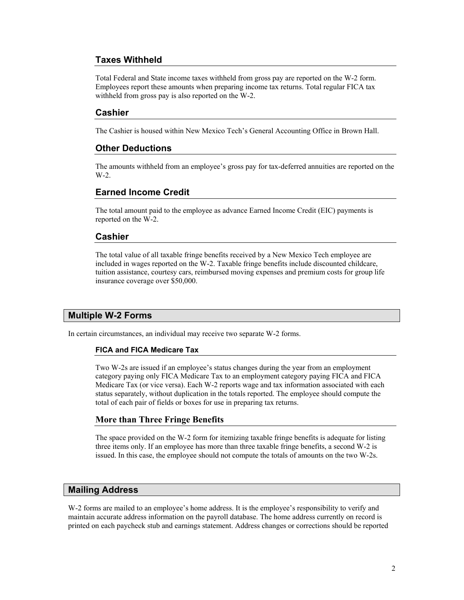## **Taxes Withheld**

Total Federal and State income taxes withheld from gross pay are reported on the W-2 form. Employees report these amounts when preparing income tax returns. Total regular FICA tax withheld from gross pay is also reported on the W-2.

#### **Cashier**

The Cashier is housed within New Mexico Tech's General Accounting Office in Brown Hall.

#### **Other Deductions**

The amounts withheld from an employee's gross pay for tax-deferred annuities are reported on the W-2.

#### **Earned Income Credit**

The total amount paid to the employee as advance Earned Income Credit (EIC) payments is reported on the W-2.

#### **Cashier**

The total value of all taxable fringe benefits received by a New Mexico Tech employee are included in wages reported on the W-2. Taxable fringe benefits include discounted childcare, tuition assistance, courtesy cars, reimbursed moving expenses and premium costs for group life insurance coverage over \$50,000.

#### **Multiple W-2 Forms**

In certain circumstances, an individual may receive two separate W-2 forms.

#### **FICA and FICA Medicare Tax**

Two W-2s are issued if an employee's status changes during the year from an employment category paying only FICA Medicare Tax to an employment category paying FICA and FICA Medicare Tax (or vice versa). Each W-2 reports wage and tax information associated with each status separately, without duplication in the totals reported. The employee should compute the total of each pair of fields or boxes for use in preparing tax returns.

#### **More than Three Fringe Benefits**

The space provided on the W-2 form for itemizing taxable fringe benefits is adequate for listing three items only. If an employee has more than three taxable fringe benefits, a second W-2 is issued. In this case, the employee should not compute the totals of amounts on the two W-2s.

#### **Mailing Address**

W-2 forms are mailed to an employee's home address. It is the employee's responsibility to verify and maintain accurate address information on the payroll database. The home address currently on record is printed on each paycheck stub and earnings statement. Address changes or corrections should be reported